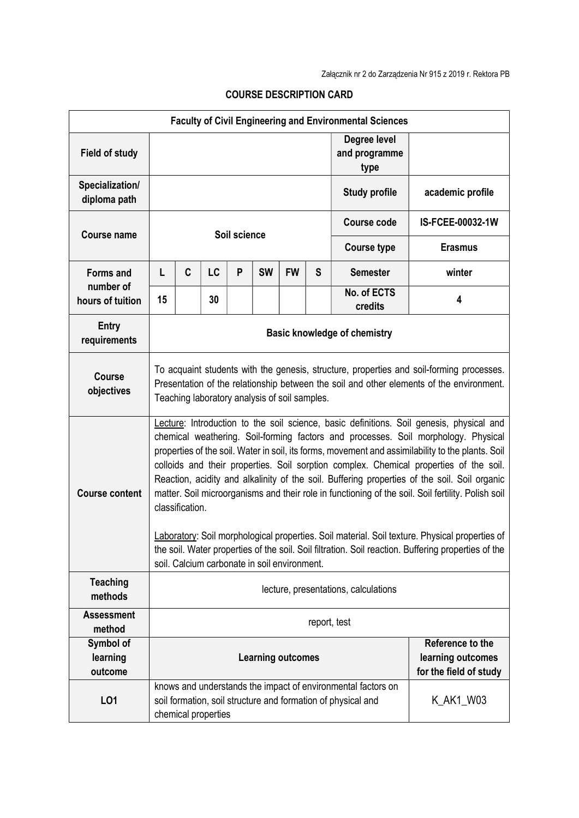| <b>Faculty of Civil Engineering and Environmental Sciences</b> |                                                                                                                                                                                                                                                                                                                                                                                                                                                                                                                                                                                                                                                                                                                                                                                                                 |   |                     |   |           |           |                                                                 |                                                                                                                              |                  |
|----------------------------------------------------------------|-----------------------------------------------------------------------------------------------------------------------------------------------------------------------------------------------------------------------------------------------------------------------------------------------------------------------------------------------------------------------------------------------------------------------------------------------------------------------------------------------------------------------------------------------------------------------------------------------------------------------------------------------------------------------------------------------------------------------------------------------------------------------------------------------------------------|---|---------------------|---|-----------|-----------|-----------------------------------------------------------------|------------------------------------------------------------------------------------------------------------------------------|------------------|
| <b>Field of study</b>                                          |                                                                                                                                                                                                                                                                                                                                                                                                                                                                                                                                                                                                                                                                                                                                                                                                                 |   |                     |   |           |           | Degree level<br>and programme<br>type                           |                                                                                                                              |                  |
| Specialization/<br>diploma path                                |                                                                                                                                                                                                                                                                                                                                                                                                                                                                                                                                                                                                                                                                                                                                                                                                                 |   |                     |   |           |           |                                                                 | <b>Study profile</b>                                                                                                         | academic profile |
|                                                                | Soil science                                                                                                                                                                                                                                                                                                                                                                                                                                                                                                                                                                                                                                                                                                                                                                                                    |   |                     |   |           |           |                                                                 | <b>Course code</b>                                                                                                           | IS-FCEE-00032-1W |
| <b>Course name</b>                                             |                                                                                                                                                                                                                                                                                                                                                                                                                                                                                                                                                                                                                                                                                                                                                                                                                 |   |                     |   |           |           | <b>Course type</b>                                              | <b>Erasmus</b>                                                                                                               |                  |
| <b>Forms and</b>                                               | L                                                                                                                                                                                                                                                                                                                                                                                                                                                                                                                                                                                                                                                                                                                                                                                                               | C | LC                  | P | <b>SW</b> | <b>FW</b> | S                                                               | <b>Semester</b>                                                                                                              | winter           |
| number of<br>hours of tuition                                  | 15                                                                                                                                                                                                                                                                                                                                                                                                                                                                                                                                                                                                                                                                                                                                                                                                              |   | 30                  |   |           |           |                                                                 | No. of ECTS<br>credits                                                                                                       | 4                |
| Entry<br>requirements                                          | <b>Basic knowledge of chemistry</b>                                                                                                                                                                                                                                                                                                                                                                                                                                                                                                                                                                                                                                                                                                                                                                             |   |                     |   |           |           |                                                                 |                                                                                                                              |                  |
| <b>Course</b><br>objectives                                    | To acquaint students with the genesis, structure, properties and soil-forming processes.<br>Presentation of the relationship between the soil and other elements of the environment.<br>Teaching laboratory analysis of soil samples.                                                                                                                                                                                                                                                                                                                                                                                                                                                                                                                                                                           |   |                     |   |           |           |                                                                 |                                                                                                                              |                  |
| <b>Course content</b>                                          | Lecture: Introduction to the soil science, basic definitions. Soil genesis, physical and<br>chemical weathering. Soil-forming factors and processes. Soil morphology. Physical<br>properties of the soil. Water in soil, its forms, movement and assimilability to the plants. Soil<br>colloids and their properties. Soil sorption complex. Chemical properties of the soil.<br>Reaction, acidity and alkalinity of the soil. Buffering properties of the soil. Soil organic<br>matter. Soil microorganisms and their role in functioning of the soil. Soil fertility. Polish soil<br>classification.<br>Laboratory: Soil morphological properties. Soil material. Soil texture. Physical properties of<br>the soil. Water properties of the soil. Soil filtration. Soil reaction. Buffering properties of the |   |                     |   |           |           |                                                                 |                                                                                                                              |                  |
| <b>Teaching</b>                                                | soil. Calcium carbonate in soil environment.                                                                                                                                                                                                                                                                                                                                                                                                                                                                                                                                                                                                                                                                                                                                                                    |   |                     |   |           |           |                                                                 |                                                                                                                              |                  |
| methods                                                        | lecture, presentations, calculations                                                                                                                                                                                                                                                                                                                                                                                                                                                                                                                                                                                                                                                                                                                                                                            |   |                     |   |           |           |                                                                 |                                                                                                                              |                  |
| <b>Assessment</b><br>method                                    | report, test                                                                                                                                                                                                                                                                                                                                                                                                                                                                                                                                                                                                                                                                                                                                                                                                    |   |                     |   |           |           |                                                                 |                                                                                                                              |                  |
| Symbol of<br>learning<br>outcome                               | <b>Learning outcomes</b>                                                                                                                                                                                                                                                                                                                                                                                                                                                                                                                                                                                                                                                                                                                                                                                        |   |                     |   |           |           | Reference to the<br>learning outcomes<br>for the field of study |                                                                                                                              |                  |
| LO1                                                            |                                                                                                                                                                                                                                                                                                                                                                                                                                                                                                                                                                                                                                                                                                                                                                                                                 |   | chemical properties |   |           |           |                                                                 | knows and understands the impact of environmental factors on<br>soil formation, soil structure and formation of physical and | K_AK1_W03        |

## COURSE DESCRIPTION CARD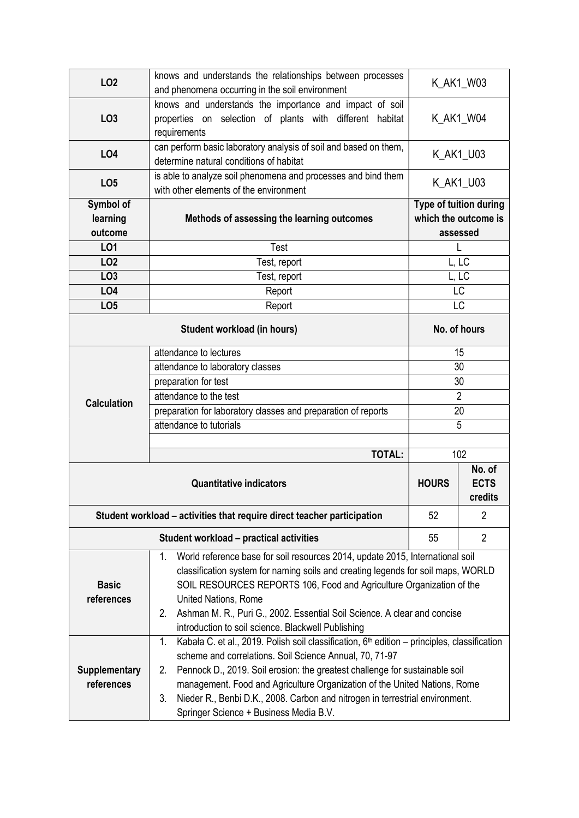| LO <sub>2</sub>                  | knows and understands the relationships between processes<br>and phenomena occurring in the soil environment                         | K_AK1_W03                                                  |                |  |  |  |  |
|----------------------------------|--------------------------------------------------------------------------------------------------------------------------------------|------------------------------------------------------------|----------------|--|--|--|--|
| LO <sub>3</sub>                  | knows and understands the importance and impact of soil<br>properties on selection of plants with different habitat<br>requirements  | K_AK1_W04                                                  |                |  |  |  |  |
| <b>LO4</b>                       | can perform basic laboratory analysis of soil and based on them,<br>determine natural conditions of habitat                          | K_AK1_U03                                                  |                |  |  |  |  |
| LO <sub>5</sub>                  | is able to analyze soil phenomena and processes and bind them<br>with other elements of the environment                              | K_AK1_U03                                                  |                |  |  |  |  |
| Symbol of<br>learning<br>outcome | Methods of assessing the learning outcomes                                                                                           | Type of tuition during<br>which the outcome is<br>assessed |                |  |  |  |  |
| LO1                              | Test                                                                                                                                 | L                                                          |                |  |  |  |  |
| LO <sub>2</sub>                  | Test, report                                                                                                                         | L, LC                                                      |                |  |  |  |  |
| LO <sub>3</sub>                  | Test, report                                                                                                                         | L, LC                                                      |                |  |  |  |  |
| LO <sub>4</sub>                  | Report                                                                                                                               | LC                                                         |                |  |  |  |  |
| LO <sub>5</sub>                  | Report                                                                                                                               | LC                                                         |                |  |  |  |  |
|                                  | No. of hours                                                                                                                         |                                                            |                |  |  |  |  |
|                                  | attendance to lectures                                                                                                               | 15                                                         |                |  |  |  |  |
|                                  | attendance to laboratory classes                                                                                                     | 30                                                         |                |  |  |  |  |
|                                  | preparation for test                                                                                                                 | 30                                                         |                |  |  |  |  |
| <b>Calculation</b>               | attendance to the test                                                                                                               | $\overline{2}$                                             |                |  |  |  |  |
|                                  | preparation for laboratory classes and preparation of reports                                                                        | 20                                                         |                |  |  |  |  |
|                                  | attendance to tutorials                                                                                                              | 5                                                          |                |  |  |  |  |
|                                  |                                                                                                                                      |                                                            |                |  |  |  |  |
|                                  | <b>TOTAL:</b>                                                                                                                        | 102                                                        |                |  |  |  |  |
|                                  | <b>HOURS</b>                                                                                                                         | No. of<br><b>ECTS</b><br>credits                           |                |  |  |  |  |
|                                  | Student workload – activities that require direct teacher participation                                                              | 52                                                         | $\overline{2}$ |  |  |  |  |
|                                  | <b>Student workload - practical activities</b>                                                                                       | 55                                                         | $\overline{2}$ |  |  |  |  |
|                                  | World reference base for soil resources 2014, update 2015, International soil<br>1.                                                  |                                                            |                |  |  |  |  |
|                                  | classification system for naming soils and creating legends for soil maps, WORLD                                                     |                                                            |                |  |  |  |  |
| <b>Basic</b>                     | SOIL RESOURCES REPORTS 106, Food and Agriculture Organization of the                                                                 |                                                            |                |  |  |  |  |
| references                       | United Nations, Rome                                                                                                                 |                                                            |                |  |  |  |  |
|                                  | Ashman M. R., Puri G., 2002. Essential Soil Science. A clear and concise<br>2.<br>introduction to soil science. Blackwell Publishing |                                                            |                |  |  |  |  |
|                                  | Kabała C. et al., 2019. Polish soil classification, $6th$ edition – principles, classification<br>1.                                 |                                                            |                |  |  |  |  |
|                                  | scheme and correlations. Soil Science Annual, 70, 71-97                                                                              |                                                            |                |  |  |  |  |
| <b>Supplementary</b>             | Pennock D., 2019. Soil erosion: the greatest challenge for sustainable soil<br>2.                                                    |                                                            |                |  |  |  |  |
| references                       | management. Food and Agriculture Organization of the United Nations, Rome                                                            |                                                            |                |  |  |  |  |
|                                  | Nieder R., Benbi D.K., 2008. Carbon and nitrogen in terrestrial environment.<br>3.                                                   |                                                            |                |  |  |  |  |
|                                  | Springer Science + Business Media B.V.                                                                                               |                                                            |                |  |  |  |  |